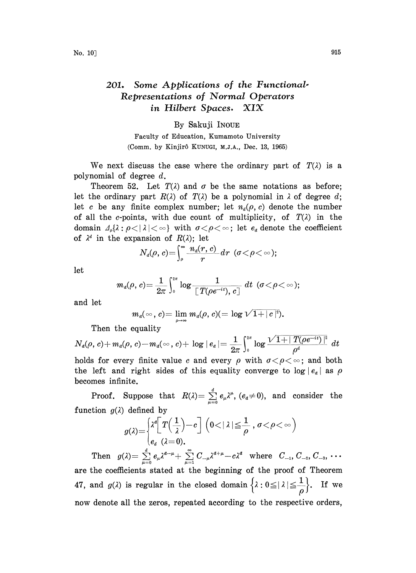## 201. Some Applications of the Functional. Representations of Normal Operators in Hilbert Spaces. XIX

## By Sakuji INOUE

Faculty of Education, Kumamoto University (Comm. by Kinjirô KUNUGI, M.J.A., Dec. 13, 1965)

We next discuss the case where the ordinary part of  $T(\lambda)$  is a polynomial of degree  $d$ .

Theorem 52. Let  $T(\lambda)$  and  $\sigma$  be the same notations as before; let the ordinary part  $R(\lambda)$  of  $T(\lambda)$  be a polynomial in  $\lambda$  of degree d; let c be any finite complex number; let  $n_d(\rho, c)$  denote the number of all the c-points, with due count of multiplicity, of  $T(\lambda)$  in the domain  $\Delta_{\rho} \{ \lambda : \rho \langle \lambda | \langle \infty \rangle \}$  with  $\sigma \langle \rho \langle \infty | \rangle$  let  $e_a$  denote the coefficient of  $\lambda^d$  in the expansion of  $R(\lambda)$ ; let

$$
N_d(\rho, c) = \int_{\rho}^{\infty} \frac{n_d(r, c)}{r} dr \, (\sigma \langle \rho \langle \infty \rangle);
$$

let

$$
m_a(\rho, c) = \frac{1}{2\pi} \int_0^{2\pi} \log \frac{1}{\left[\right] T(\rho e^{-it}), c\left[\right]} \ dt \ (\sigma \!<\! \rho \!<\! \infty);
$$

and let

$$
m_a(\infty, c) = \lim_{\rho \to \infty} m_a(\rho, c) (= \log \sqrt{1 + |c|^2}).
$$
  
equality

Then the equality

 $N_d(\rho, \, c) + m_d(\rho, \, c) - m_d(\infty, \, c) + \ \log \mid \! e_a \! \mid \! = \frac{1}{2 \pi} \int_\alpha^{2 \pi} \log \frac{\sqrt{1 + \mid T(\rho e^{-it}) \mid^2}}{c^d} \,\, dt$ 

 $\frac{2\pi}{2}$  )<sub>0</sub><br> *l*  $\rho$  v<br> *i*ty c holds for every finite value c and every  $\rho$  with  $\sigma < \rho < \infty$ ; and both the left and right sides of this equality converge to  $\log |e_a|$  as  $\rho$ becomes infinite.

Proof. Suppose that  $R(\lambda) = \sum_{i=1}^{d} e_{\mu} \lambda^{\mu}$ ,  $(e_{a} \neq 0)$ , and consider the function  $g(\lambda)$  defined by

$$
g(\lambda) = \begin{cases} \lambda^d \left[ T\left(\frac{1}{\lambda}\right) - c \right] \left( 0 < |\lambda| \leq \frac{1}{\rho}, \ \sigma < \rho < \infty \right) \\ e_d \ ( \lambda = 0 ). \end{cases}
$$

d Then  $g(\lambda) = \sum_{\mu=0}^d e_\mu \lambda^{a-\mu} + \sum_{\mu=1}^\infty C_{-\mu} \lambda^{a+\mu} - c \lambda^a$  where  $C_{-1}, C_{-2}, C_{-3},$ are the coefficients stated at the beginning of the proof of Theorem 47, and  $g(\lambda)$  is regular in the closed domain  $\left\{\lambda: 0 \leq |\lambda| \leq \frac{1}{\rho}\right\}$ . If we now denote all the zeros, repeated according to the respective orders,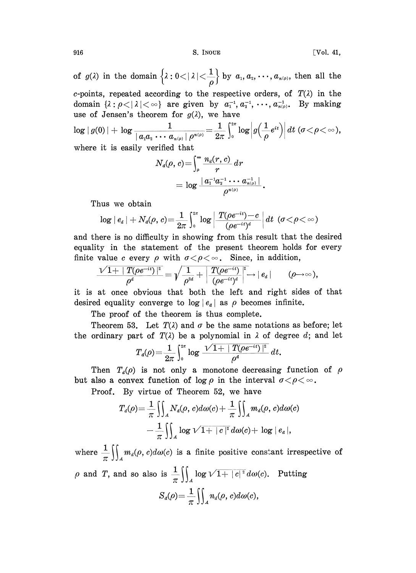$916$  S. Inoue S. Inoue  $[V_0]$ ,  $41$ ,

of  $g(\lambda)$  in the domain  $\{\lambda: 0<|\lambda|<\frac{1}{\varrho}\}$  by  $a_1, a_2, \cdots, a_{n(\rho)},$  then all the c-points, repeated according to the respective orders, of  $T(\lambda)$  in the domain  $\{\lambda : \alpha < |\lambda| < \infty\}$  are given by  $a^{-1}$ ,  $a^{-1}$ ,  $\ldots$ ,  $a^{-1}$ . By making domain  $\{\lambda : \rho \langle |\lambda| \langle \infty \rangle\}$  are given by  $a_1^{-1}, a_2^{-1}, \cdots, a_{n(p)}^{-1}$ . By making use of Jensen's theorem for  $g(\lambda)$ , we have

 $\log |g(0)| + \log \frac{1}{\log \alpha} = \frac{1}{\alpha} \left| \log \left| g \left( \frac{1}{\alpha} e^{it} \right) \right| dt \ (\sigma \leq \rho \leq \infty), \right.$  $\frac{1}{a_{\scriptscriptstyle 1} a_{\scriptscriptstyle 2} \cdots a_{\scriptscriptstyle n(\rho)} \, | \, \rho^{\scriptscriptstyle n(\rho)}} \! =\! \frac{1}{2\pi}$ where it is easily verified that

$$
\begin{aligned} N_a(\rho,\,c) & = \! \int_\rho^\infty \frac{n_a(r,\,c)}{r}\,dr \\ & = \log\frac{||a_1^{-1}a_2^{-1}\cdot\cdot\cdot a_{n(\rho)}^{-1}||}{\rho^{n(\rho)}} \end{aligned}
$$

Thus we obtain

$$
\log \mid e_{\scriptscriptstyle d} \mid + N_{\scriptscriptstyle d}(\rho, \, c){=}\frac{1}{2\pi}\int_{\scriptscriptstyle 0}^{2\pi} \log \left| \frac{T(\rho e^{-i t}){-} c}{(\rho e^{-i t})^{\scriptscriptstyle d}} \right| dt \;\, (\sigma{<}\rho{<}\infty)
$$

and there is no difficulty in showing from this result that the desired equality in the statement of the present theorem holds for every finite value c every  $\rho$  with  $\sigma < \rho < \infty$ . Since, in addition,

$$
\frac{\sqrt{1+|T(\rho e^{-it})|^2}}{\rho^d}=\sqrt{\frac{1}{\rho^{2d}}+\left|\frac{T(\rho e^{-it})}{(\rho e^{-it})^d}\right|^2}\rightarrow |e_d| \qquad (\rho\rightarrow\infty),
$$
 it is at once obvious that both the left and right sides of that

desired equality converge to  $log|e_a|$  as  $\rho$  becomes infinite.

The proof of the theorem is thus complete.

Theorem 53. Let  $T(\lambda)$  and  $\sigma$  be the same notations as before; let the ordinary part of  $T(\lambda)$  be a polynomial in  $\lambda$  of degree d; and let

$$
T_a(\rho) = \frac{1}{2\pi} \int_0^{2\pi} \log \frac{\sqrt{1 + |T(\rho e^{-it})|^2}}{\rho^a} dt.
$$

Then  $T_d(\rho)$  is not only a monotone decreasing function of  $\rho$ but also a convex function of  $\log \rho$  in the interval  $\sigma < \rho < \infty$ .

Proof. By virtue of Theorem 52, we have

$$
T_d(\rho) = \frac{1}{\pi} \iint_A N_d(\rho, c) d\omega(c) + \frac{1}{\pi} \iint_A m_d(\rho, c) d\omega(c) - \frac{1}{\pi} \iint_A \log \sqrt{1 + |c|^2} d\omega(c) + \log |e_a|,
$$

where  $\frac{1}{\pi} \left( \int_{-\pi}^{\pi} m_d(\rho, c) d\omega(c)$  is a finite positive constant irrespective of

$$
\rho \text{ and } T, \text{ and so also is } \frac{1}{\pi} \iint_A \log \sqrt{1+|c|^2} \, d\omega(c).
$$
 Putting
$$
S_d(\rho) = \frac{1}{\pi} \iint_A n_d(\rho, c) \, d\omega(c),
$$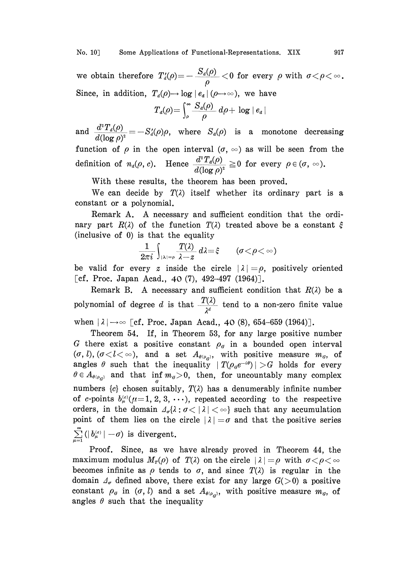we obtain therefore  $T_d'(\rho)=-\frac{S_d(\rho)}{2}<0$  for every  $\rho$  with  $\sigma<\rho<\infty$  $\rho$ Since, in addition,  $T_d(\rho) \rightarrow \log |e_a| (\rho \rightarrow \infty)$ , we have

$$
T_a(\rho) = \int_{\rho}^{\infty} \frac{S_a(\rho)}{\rho} \ d\rho + \log |e_a|
$$

and  $\frac{d^2 T_d(\rho)}{d(\log \rho)^2} = -S_d(\rho)\rho$ , where  $S_d(\rho)$  is a monotone decreasing function of  $\rho$  in the open interval  $(\sigma, \infty)$  as will be seen from the definition of  $n_a(\rho, c)$ . Hence  $\frac{d^2 T_a(\rho)}{d(\log \rho)^2} \ge 0$  for every  $\rho \in (\sigma, \infty)$ .

With these results, the theorem has been proved.

We can decide by  $T(\lambda)$  itself whether its ordinary part is a constant or a polynomial.

Remark A. A necessary and sufficient condition that the ordinary part  $R(\lambda)$  of the function  $T(\lambda)$  treated above be a constant  $\xi$ (inclusive of 0) is that the equality

$$
\frac{1}{2\pi i} \int_{|\lambda|=\rho} \frac{T(\lambda)}{\lambda-z} \, d\lambda = \xi \qquad (\sigma < \rho < \infty)
$$

be valid for every z inside the circle  $|\lambda|=\rho$ , positively oriented [cf. Proc. Japan Acad., 40 (7), 492-497 (1964)].

 $\int_{|\lambda|=\rho} \frac{T(\lambda)}{\lambda-z} d\lambda = \xi \quad (\sigma < \rho < \infty)$ <br>
z inside the circle  $|\lambda| = \rho$ , p<br>
d., 40 (7), 492-497 (1964)].<br>
ecessary and sufficient conditio<br>
d is that  $\frac{T(\lambda)}{\lambda^d}$  tend to a non<br>
oc. Japan Acad., 40 (8), 654-68 Remark B. A necessary and sufficient condition that  $R(\lambda)$  be a polynomial of degree d is that  $\frac{T(\lambda)}{n}$  tend to a non-zero finite value

when  $|\lambda| \rightarrow \infty$  [cf. Proc. Japan Acad., 40 (8), 654-659 (1964)].

Theorem 54. If, in Theorem 58, for any large positive number G there exist a positive constant  $\rho_q$  in a bounded open interval  $(\sigma, l), (\sigma \langle l \langle \infty \rangle)$ , and a set  $A_{\theta(\rho_{\sigma})}$ , with positive measure  $m_{\sigma}$ , of angles  $\theta$  such that the inequality  $|T(\rho_{\theta}e^{-i\theta})|>G$  holds for every  $\in A_{\theta(\rho_{\mathcal{G}})}$  and that  $\inf\limits_{\mathcal{G}} m_{\mathcal{G}} > 0$ , then, for uncountably many complex numbers  ${c}$  chosen suitably,  $T(\lambda)$  has a denumerably infinite number of c-points  $b_{\mu}^{(c)}(\mu=1, 2, 3, \cdots)$ , repeated according to the respective orders, in the domain  $\mathcal{A}_{\sigma} \{ \lambda : \sigma \langle \lambda | \langle \infty \rangle \}$  such that any accumulation point of them lies on the circle  $|\lambda|=\sigma$  and that the positive series  $\sum_{\mu=1}^{\infty} (|b_{\mu}^{(c)}| - \sigma)$  is divergent

Proof. Since, as we have already proved in Theorem 44, the maximum modulus  $M_r(\rho)$  of  $T(\lambda)$  on the circle  $|\lambda| = \rho$  with  $\sigma < \rho < \infty$ becomes infinite as  $\rho$  tends to  $\sigma$ , and since  $T(\lambda)$  is regular in the domain  $\Delta_{\sigma}$  defined above, there exist for any large  $G(>0)$  a positive constant  $\rho_{\alpha}$  in  $(\sigma, l)$  and a set  $A_{\theta(\rho_{\alpha})}$ , with positive measure  $m_{\alpha}$ , of angles  $\theta$  such that the inequality